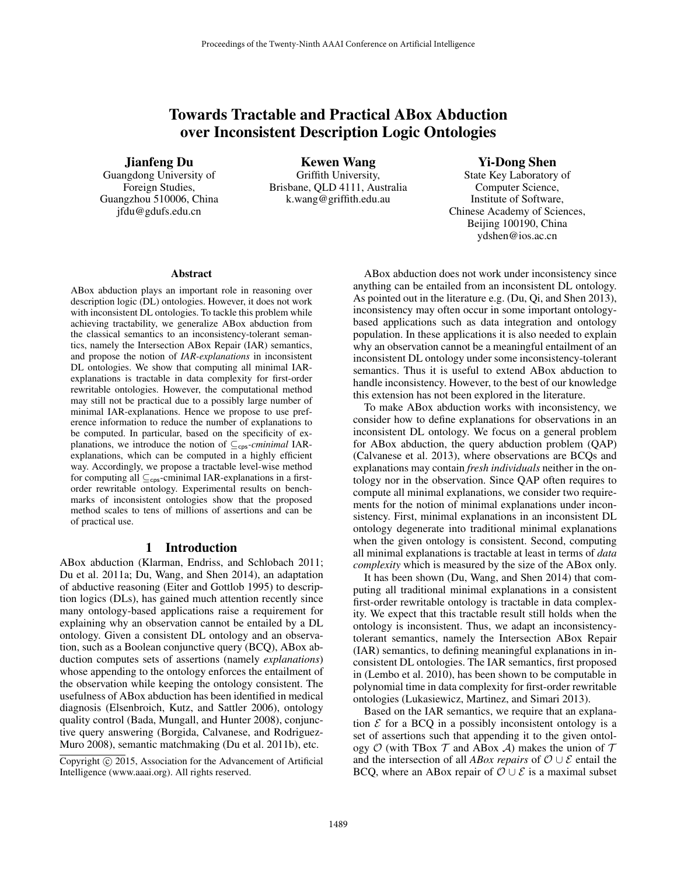# Towards Tractable and Practical ABox Abduction over Inconsistent Description Logic Ontologies

#### Jianfeng Du

Guangdong University of Foreign Studies, Guangzhou 510006, China jfdu@gdufs.edu.cn

Kewen Wang Griffith University, Brisbane, QLD 4111, Australia k.wang@griffith.edu.au

## Yi-Dong Shen

State Key Laboratory of Computer Science, Institute of Software, Chinese Academy of Sciences, Beijing 100190, China ydshen@ios.ac.cn

#### Abstract

ABox abduction plays an important role in reasoning over description logic (DL) ontologies. However, it does not work with inconsistent DL ontologies. To tackle this problem while achieving tractability, we generalize ABox abduction from the classical semantics to an inconsistency-tolerant semantics, namely the Intersection ABox Repair (IAR) semantics, and propose the notion of *IAR-explanations* in inconsistent DL ontologies. We show that computing all minimal IARexplanations is tractable in data complexity for first-order rewritable ontologies. However, the computational method may still not be practical due to a possibly large number of minimal IAR-explanations. Hence we propose to use preference information to reduce the number of explanations to be computed. In particular, based on the specificity of explanations, we introduce the notion of  $\subseteq_{\text{cps}}\text{-}cminimal$  IARexplanations, which can be computed in a highly efficient way. Accordingly, we propose a tractable level-wise method for computing all  $\subseteq_{\text{cps}}$ -cminimal IAR-explanations in a firstorder rewritable ontology. Experimental results on benchmarks of inconsistent ontologies show that the proposed method scales to tens of millions of assertions and can be of practical use.

### 1 Introduction

ABox abduction (Klarman, Endriss, and Schlobach 2011; Du et al. 2011a; Du, Wang, and Shen 2014), an adaptation of abductive reasoning (Eiter and Gottlob 1995) to description logics (DLs), has gained much attention recently since many ontology-based applications raise a requirement for explaining why an observation cannot be entailed by a DL ontology. Given a consistent DL ontology and an observation, such as a Boolean conjunctive query (BCQ), ABox abduction computes sets of assertions (namely *explanations*) whose appending to the ontology enforces the entailment of the observation while keeping the ontology consistent. The usefulness of ABox abduction has been identified in medical diagnosis (Elsenbroich, Kutz, and Sattler 2006), ontology quality control (Bada, Mungall, and Hunter 2008), conjunctive query answering (Borgida, Calvanese, and Rodriguez-Muro 2008), semantic matchmaking (Du et al. 2011b), etc.

Copyright (c) 2015, Association for the Advancement of Artificial Intelligence (www.aaai.org). All rights reserved.

ABox abduction does not work under inconsistency since anything can be entailed from an inconsistent DL ontology. As pointed out in the literature e.g. (Du, Qi, and Shen 2013), inconsistency may often occur in some important ontologybased applications such as data integration and ontology population. In these applications it is also needed to explain why an observation cannot be a meaningful entailment of an inconsistent DL ontology under some inconsistency-tolerant semantics. Thus it is useful to extend ABox abduction to handle inconsistency. However, to the best of our knowledge this extension has not been explored in the literature.

To make ABox abduction works with inconsistency, we consider how to define explanations for observations in an inconsistent DL ontology. We focus on a general problem for ABox abduction, the query abduction problem (QAP) (Calvanese et al. 2013), where observations are BCQs and explanations may contain *fresh individuals* neither in the ontology nor in the observation. Since QAP often requires to compute all minimal explanations, we consider two requirements for the notion of minimal explanations under inconsistency. First, minimal explanations in an inconsistent DL ontology degenerate into traditional minimal explanations when the given ontology is consistent. Second, computing all minimal explanations is tractable at least in terms of *data complexity* which is measured by the size of the ABox only.

It has been shown (Du, Wang, and Shen 2014) that computing all traditional minimal explanations in a consistent first-order rewritable ontology is tractable in data complexity. We expect that this tractable result still holds when the ontology is inconsistent. Thus, we adapt an inconsistencytolerant semantics, namely the Intersection ABox Repair (IAR) semantics, to defining meaningful explanations in inconsistent DL ontologies. The IAR semantics, first proposed in (Lembo et al. 2010), has been shown to be computable in polynomial time in data complexity for first-order rewritable ontologies (Lukasiewicz, Martinez, and Simari 2013).

Based on the IAR semantics, we require that an explanation  $\mathcal E$  for a BCQ in a possibly inconsistent ontology is a set of assertions such that appending it to the given ontology  $O$  (with TBox  $T$  and ABox  $A$ ) makes the union of  $T$ and the intersection of all *ABox repairs* of O ∪ E entail the BCQ, where an ABox repair of  $\mathcal{O} \cup \mathcal{E}$  is a maximal subset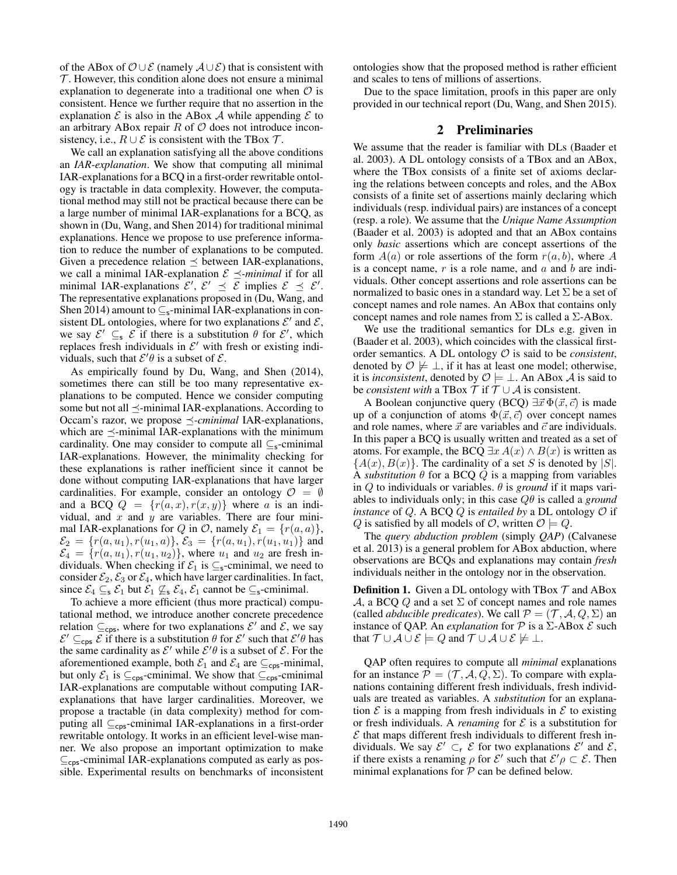of the ABox of  $\mathcal{O} \cup \mathcal{E}$  (namely  $\mathcal{A} \cup \mathcal{E}$ ) that is consistent with  $\mathcal T$ . However, this condition alone does not ensure a minimal explanation to degenerate into a traditional one when  $\mathcal O$  is consistent. Hence we further require that no assertion in the explanation  $\mathcal E$  is also in the ABox  $\mathcal A$  while appending  $\mathcal E$  to an arbitrary ABox repair  $R$  of  $O$  does not introduce inconsistency, i.e.,  $R \cup \mathcal{E}$  is consistent with the TBox  $\mathcal{T}$ .

We call an explanation satisfying all the above conditions an *IAR-explanation*. We show that computing all minimal IAR-explanations for a BCQ in a first-order rewritable ontology is tractable in data complexity. However, the computational method may still not be practical because there can be a large number of minimal IAR-explanations for a BCQ, as shown in (Du, Wang, and Shen 2014) for traditional minimal explanations. Hence we propose to use preference information to reduce the number of explanations to be computed. Given a precedence relation  $\preceq$  between IAR-explanations, we call a minimal IAR-explanation  $\mathcal{E} \preceq$ -*minimal* if for all minimal IAR-explanations  $\mathcal{E}', \mathcal{E}' \preceq \mathcal{E}$  implies  $\mathcal{E} \preceq \mathcal{E}'.$ The representative explanations proposed in (Du, Wang, and Shen 2014) amount to  $\subseteq$ <sub>s</sub>-minimal IAR-explanations in consistent DL ontologies, where for two explanations  $\mathcal{E}'$  and  $\mathcal{E}$ , we say  $\mathcal{E}' \subseteq_{\mathsf{s}} \mathcal{E}$  if there is a substitution  $\theta$  for  $\mathcal{E}'$ , which replaces fresh individuals in  $\mathcal{E}'$  with fresh or existing individuals, such that  $\mathcal{E}'\theta$  is a subset of  $\mathcal{E}$ .

As empirically found by Du, Wang, and Shen (2014), sometimes there can still be too many representative explanations to be computed. Hence we consider computing some but not all  $\preceq$ -minimal IAR-explanations. According to Occam's razor, we propose  $\preceq$ -*cminimal* IAR-explanations, which are  $\preceq$ -minimal IAR-explanations with the minimum cardinality. One may consider to compute all  $\subseteq$ <sub>s</sub>-cminimal IAR-explanations. However, the minimality checking for these explanations is rather inefficient since it cannot be done without computing IAR-explanations that have larger cardinalities. For example, consider an ontology  $\mathcal{O} = \emptyset$ and a BCQ  $Q = \{r(a, x), r(x, y)\}\$  where a is an individual, and  $x$  and  $y$  are variables. There are four minimal IAR-explanations for Q in O, namely  $\mathcal{E}_1 = \{r(a, a)\},\$  $\mathcal{E}_2 = \{r(a, u_1), r(u_1, a)\}, \mathcal{E}_3 = \{r(a, u_1), r(u_1, u_1)\}$  and  $\mathcal{E}_4 = \{r(a, u_1), r(u_1, u_2)\}\$ , where  $u_1$  and  $u_2$  are fresh individuals. When checking if  $\mathcal{E}_1$  is  $\subseteq$ <sub>s</sub>-cminimal, we need to consider  $\mathcal{E}_2$ ,  $\mathcal{E}_3$  or  $\mathcal{E}_4$ , which have larger cardinalities. In fact, since  $\mathcal{E}_4 \subseteq_{\mathsf{s}} \mathcal{E}_1$  but  $\mathcal{E}_1 \not\subseteq_{\mathsf{s}} \mathcal{E}_4$ ,  $\mathcal{E}_1$  cannot be  $\subseteq_{\mathsf{s}}$ -cminimal.

To achieve a more efficient (thus more practical) computational method, we introduce another concrete precedence relation  $\subseteq_{\text{cps}}$ , where for two explanations  $\mathcal{E}'$  and  $\mathcal{E}$ , we say  $\mathcal{E}' \subseteq_{\text{cps}} \mathcal{E}$  if there is a substitution  $\theta$  for  $\mathcal{E}'$  such that  $\mathcal{E}'\theta$  has the same cardinality as  $\mathcal{E}'$  while  $\mathcal{E}'\theta$  is a subset of  $\mathcal{E}$ . For the aforementioned example, both  $\mathcal{E}_1$  and  $\mathcal{E}_4$  are  $\subseteq_{\mathsf{cps}}$ -minimal, but only  $\mathcal{E}_1$  is  $\subseteq_{\text{cps}}$ -cminimal. We show that  $\subseteq_{\text{cps}}$ -cminimal IAR-explanations are computable without computing IARexplanations that have larger cardinalities. Moreover, we propose a tractable (in data complexity) method for computing all  $\subseteq_{\text{cps}}$ -cminimal IAR-explanations in a first-order rewritable ontology. It works in an efficient level-wise manner. We also propose an important optimization to make  $\subseteq$ <sub>cps</sub>-cminimal IAR-explanations computed as early as possible. Experimental results on benchmarks of inconsistent

ontologies show that the proposed method is rather efficient and scales to tens of millions of assertions.

Due to the space limitation, proofs in this paper are only provided in our technical report (Du, Wang, and Shen 2015).

#### 2 Preliminaries

We assume that the reader is familiar with DLs (Baader et al. 2003). A DL ontology consists of a TBox and an ABox, where the TBox consists of a finite set of axioms declaring the relations between concepts and roles, and the ABox consists of a finite set of assertions mainly declaring which individuals (resp. individual pairs) are instances of a concept (resp. a role). We assume that the *Unique Name Assumption* (Baader et al. 2003) is adopted and that an ABox contains only *basic* assertions which are concept assertions of the form  $A(a)$  or role assertions of the form  $r(a, b)$ , where A is a concept name,  $r$  is a role name, and  $a$  and  $b$  are individuals. Other concept assertions and role assertions can be normalized to basic ones in a standard way. Let  $\Sigma$  be a set of concept names and role names. An ABox that contains only concept names and role names from  $\Sigma$  is called a  $\Sigma$ -ABox.

We use the traditional semantics for DLs e.g. given in (Baader et al. 2003), which coincides with the classical firstorder semantics. A DL ontology O is said to be *consistent*, denoted by  $\mathcal{O} \not\models \bot$ , if it has at least one model; otherwise, it is *inconsistent*, denoted by  $\mathcal{O} \models \bot$ . An ABox A is said to be *consistent with* a TBox  $\mathcal{T}$  if  $\mathcal{T} \cup \mathcal{A}$  is consistent.

A Boolean conjunctive query (BCQ)  $\exists \vec{x} \Phi(\vec{x}, \vec{c})$  is made up of a conjunction of atoms  $\Phi(\vec{x}, \vec{c})$  over concept names and role names, where  $\vec{x}$  are variables and  $\vec{c}$  are individuals. In this paper a BCQ is usually written and treated as a set of atoms. For example, the BCQ  $\exists x A(x) \land B(x)$  is written as  ${A(x), B(x)}$ . The cardinality of a set S is denoted by  $|S|$ . A *substitution*  $\theta$  for a BCQ  $Q$  is a mapping from variables in Q to individuals or variables.  $\theta$  is *ground* if it maps variables to individuals only; in this case Qθ is called a *ground instance* of Q. A BCQ Q is *entailed by* a DL ontology  $\mathcal O$  if Q is satisfied by all models of  $\mathcal{O}$ , written  $\mathcal{O} \models Q$ .

The *query abduction problem* (simply *QAP*) (Calvanese et al. 2013) is a general problem for ABox abduction, where observations are BCQs and explanations may contain *fresh* individuals neither in the ontology nor in the observation.

**Definition 1.** Given a DL ontology with TBox  $\mathcal{T}$  and ABox A, a BCQ Q and a set  $\Sigma$  of concept names and role names (called *abducible predicates*). We call  $P = (\mathcal{T}, \mathcal{A}, Q, \Sigma)$  an instance of QAP. An *explanation* for  $P$  is a  $\Sigma$ -ABox  $\mathcal E$  such that  $\mathcal{T} \cup \mathcal{A} \cup \mathcal{E} \models Q$  and  $\mathcal{T} \cup \mathcal{A} \cup \mathcal{E} \not\models \bot$ .

QAP often requires to compute all *minimal* explanations for an instance  $P = (\mathcal{T}, \mathcal{A}, Q, \Sigma)$ . To compare with explanations containing different fresh individuals, fresh individuals are treated as variables. A *substitution* for an explanation  $\mathcal E$  is a mapping from fresh individuals in  $\mathcal E$  to existing or fresh individuals. A *renaming* for  $\mathcal E$  is a substitution for  $\mathcal E$  that maps different fresh individuals to different fresh individuals. We say  $\mathcal{E}' \subset_{\mathsf{r}} \mathcal{E}$  for two explanations  $\mathcal{E}'$  and  $\mathcal{E}$ , if there exists a renaming  $\rho$  for  $\mathcal{E}'$  such that  $\mathcal{E}'\rho \subset \mathcal{E}$ . Then minimal explanations for  $P$  can be defined below.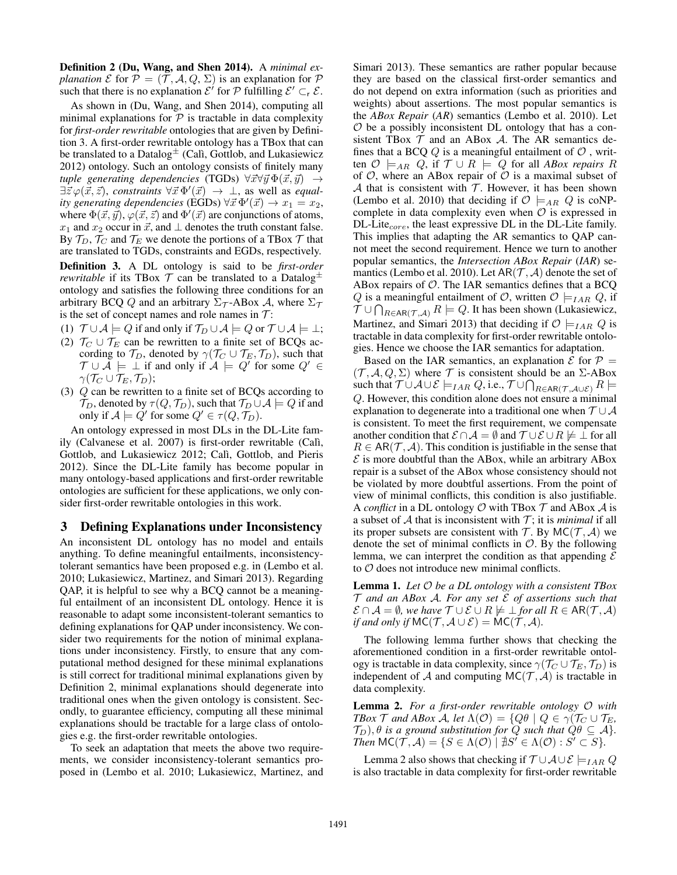Definition 2 (Du, Wang, and Shen 2014). A *minimal explanation*  $\mathcal E$  for  $\mathcal P = (\mathcal T, \mathcal A, Q, \Sigma)$  is an explanation for  $\mathcal P$ such that there is no explanation  $\mathcal{E}'$  for  $\mathcal P$  fulfilling  $\mathcal{E}' \subset_{\mathsf{r}} \mathcal{E}$ .

As shown in (Du, Wang, and Shen 2014), computing all minimal explanations for  $P$  is tractable in data complexity for *first-order rewritable* ontologies that are given by Definition 3. A first-order rewritable ontology has a TBox that can be translated to a Datalog $\pm$  (Cali, Gottlob, and Lukasiewicz 2012) ontology. Such an ontology consists of finitely many *tuple generating dependencies* (TGDs)  $\forall \vec{x} \forall \vec{y} \Phi(\vec{x}, \vec{y}) \rightarrow$  $\exists \bar{z} \varphi(\bar{x}, \bar{z})$ , *constraints*  $\forall \bar{x} \Phi'(\bar{x}) \rightarrow \bot$ , as well as *equality generating dependencies* (EGDs)  $\forall \vec{x} \Phi'(\vec{x}) \rightarrow x_1 = x_2$ , where  $\Phi(\vec{x}, \vec{y})$ ,  $\varphi(\vec{x}, \vec{z})$  and  $\Phi'(\vec{x})$  are conjunctions of atoms,  $x_1$  and  $x_2$  occur in  $\vec{x}$ , and  $\perp$  denotes the truth constant false. By  $\mathcal{T}_D$ ,  $\mathcal{T}_C$  and  $\mathcal{T}_E$  we denote the portions of a TBox  $\mathcal{T}$  that are translated to TGDs, constraints and EGDs, respectively. Definition 3. A DL ontology is said to be *first-order rewritable* if its TBox  $\mathcal T$  can be translated to a Datalog<sup> $\pm$ </sup> ontology and satisfies the following three conditions for an arbitrary BCQ Q and an arbitrary  $\Sigma_{\mathcal{T}}$ -ABox A, where  $\Sigma_{\mathcal{T}}$ is the set of concept names and role names in  $\mathcal{T}$ :

- (1)  $\mathcal{T} \cup \mathcal{A} \models Q$  if and only if  $\mathcal{T}_D \cup \mathcal{A} \models Q$  or  $\mathcal{T} \cup \mathcal{A} \models \bot$ ;
- (2)  $\mathcal{T}_C \cup \mathcal{T}_E$  can be rewritten to a finite set of BCQs according to  $\mathcal{T}_D$ , denoted by  $\gamma(\mathcal{T}_C \cup \mathcal{T}_E, \mathcal{T}_D)$ , such that  $\mathcal{T} \cup \tilde{\mathcal{A}} \models \bot$  if and only if  $\mathcal{A} \models Q'$  for some  $Q' \in$  $\gamma(\mathcal{T}_C \cup \mathcal{T}_E, \mathcal{T}_D);$
- (3) Q can be rewritten to a finite set of BCQs according to  $\mathcal{T}_D$ , denoted by  $\tau(Q, \mathcal{T}_D)$ , such that  $\mathcal{T}_D \cup \mathcal{A} \models Q$  if and only if  $\mathcal{A} \models Q'$  for some  $Q' \in \tau(Q, \mathcal{T}_D)$ .

An ontology expressed in most DLs in the DL-Lite family (Calvanese et al. 2007) is first-order rewritable (Calì, Gottlob, and Lukasiewicz 2012; Calì, Gottlob, and Pieris 2012). Since the DL-Lite family has become popular in many ontology-based applications and first-order rewritable ontologies are sufficient for these applications, we only consider first-order rewritable ontologies in this work.

#### 3 Defining Explanations under Inconsistency

An inconsistent DL ontology has no model and entails anything. To define meaningful entailments, inconsistencytolerant semantics have been proposed e.g. in (Lembo et al. 2010; Lukasiewicz, Martinez, and Simari 2013). Regarding QAP, it is helpful to see why a BCQ cannot be a meaningful entailment of an inconsistent DL ontology. Hence it is reasonable to adapt some inconsistent-tolerant semantics to defining explanations for QAP under inconsistency. We consider two requirements for the notion of minimal explanations under inconsistency. Firstly, to ensure that any computational method designed for these minimal explanations is still correct for traditional minimal explanations given by Definition 2, minimal explanations should degenerate into traditional ones when the given ontology is consistent. Secondly, to guarantee efficiency, computing all these minimal explanations should be tractable for a large class of ontologies e.g. the first-order rewritable ontologies.

To seek an adaptation that meets the above two requirements, we consider inconsistency-tolerant semantics proposed in (Lembo et al. 2010; Lukasiewicz, Martinez, and Simari 2013). These semantics are rather popular because they are based on the classical first-order semantics and do not depend on extra information (such as priorities and weights) about assertions. The most popular semantics is the *ABox Repair* (*AR*) semantics (Lembo et al. 2010). Let  $O$  be a possibly inconsistent DL ontology that has a consistent TBox  $T$  and an ABox  $A$ . The AR semantics defines that a BCQ  $Q$  is a meaningful entailment of  $O$ , written  $\mathcal{O} \models_{AR} Q$ , if  $\mathcal{T} \cup R \models Q$  for all *ABox repairs* R of  $O$ , where an ABox repair of  $O$  is a maximal subset of  $A$  that is consistent with  $T$ . However, it has been shown (Lembo et al. 2010) that deciding if  $\mathcal{O} \models_{AR} Q$  is coNPcomplete in data complexity even when  $\mathcal O$  is expressed in DL-Lite<sub>core</sub>, the least expressive DL in the DL-Lite family. This implies that adapting the AR semantics to QAP cannot meet the second requirement. Hence we turn to another popular semantics, the *Intersection ABox Repair* (*IAR*) semantics (Lembo et al. 2010). Let  $AR(\mathcal{T}, \mathcal{A})$  denote the set of ABox repairs of  $O$ . The IAR semantics defines that a BCQ Q is a meaningful entailment of O, written  $\mathcal{O} \models_{IAR} Q$ , if  $\mathcal{T} \cup \bigcap_{R \in \mathsf{AR}(\mathcal{T}, \mathcal{A})} R \models Q$ . It has been shown (Lukasiewicz, Martinez, and Simari 2013) that deciding if  $\mathcal{O} \models_{IAR} Q$  is tractable in data complexity for first-order rewritable ontologies. Hence we choose the IAR semantics for adaptation.

Based on the IAR semantics, an explanation  $\mathcal E$  for  $\mathcal P =$  $(\mathcal{T}, \mathcal{A}, Q, \Sigma)$  where  $\mathcal T$  is consistent should be an  $\Sigma$ -ABox such that  $\mathcal T\cup\mathcal A\cup\mathcal E\models_{IAR}Q$ , i.e.,  $\mathcal T\cup\bigcap_{R\in\mathsf{AR}(\mathcal T,\mathcal A\cup\mathcal E)}R\models$ Q. However, this condition alone does not ensure a minimal explanation to degenerate into a traditional one when  $T \cup A$ is consistent. To meet the first requirement, we compensate another condition that  $\mathcal{E} \cap \mathcal{A} = \emptyset$  and  $\mathcal{T} \cup \mathcal{E} \cup R \not\models \bot$  for all  $R \in AR(\mathcal{T}, \mathcal{A})$ . This condition is justifiable in the sense that  $\mathcal E$  is more doubtful than the ABox, while an arbitrary ABox repair is a subset of the ABox whose consistency should not be violated by more doubtful assertions. From the point of view of minimal conflicts, this condition is also justifiable. A *conflict* in a DL ontology  $\mathcal O$  with TBox  $\mathcal T$  and ABox  $\mathcal A$  is a subset of  $A$  that is inconsistent with  $T$ ; it is *minimal* if all its proper subsets are consistent with  $T$ . By MC( $T$ , A) we denote the set of minimal conflicts in  $\mathcal{O}$ . By the following lemma, we can interpret the condition as that appending  $\mathcal E$ to  $\mathcal O$  does not introduce new minimal conflicts.

Lemma 1. *Let* O *be a DL ontology with a consistent TBox* T *and an ABox* A*. For any set* E *of assertions such that*  $\mathcal{E} \cap \mathcal{A} = \emptyset$ , we have  $\mathcal{T} \cup \mathcal{E} \cup R \not\models \bot$  *for all*  $R \in AR(\mathcal{T}, \mathcal{A})$ *if and only if*  $MC(\mathcal{T}, \mathcal{A} \cup \mathcal{E}) = MC(\mathcal{T}, \mathcal{A})$ *.* 

The following lemma further shows that checking the aforementioned condition in a first-order rewritable ontology is tractable in data complexity, since  $\gamma(\mathcal{T}_{C} \cup \mathcal{T}_{E}, \mathcal{T}_{D})$  is independent of A and computing  $MC(\mathcal{T}, \mathcal{A})$  is tractable in data complexity.

Lemma 2. *For a first-order rewritable ontology* O *with TBox*  $\mathcal T$  *and ABox A, let*  $\Lambda(\mathcal O) = \{Q\theta \mid Q \in \gamma(\mathcal T_C \cup \mathcal T_E,$  $\mathcal{T}_D$ ,  $\theta$  *is a ground substitution for* Q *such that*  $Q\theta \subseteq A$ *. Then*  $MC(\mathcal{T}, \mathcal{A}) = \{ S \in \Lambda(\mathcal{O}) \mid \nexists S' \in \Lambda(\mathcal{O}) : S' \subset S \}.$ 

Lemma 2 also shows that checking if  $\mathcal{T} \cup \mathcal{A} \cup \mathcal{E} \models_{IAR} Q$ is also tractable in data complexity for first-order rewritable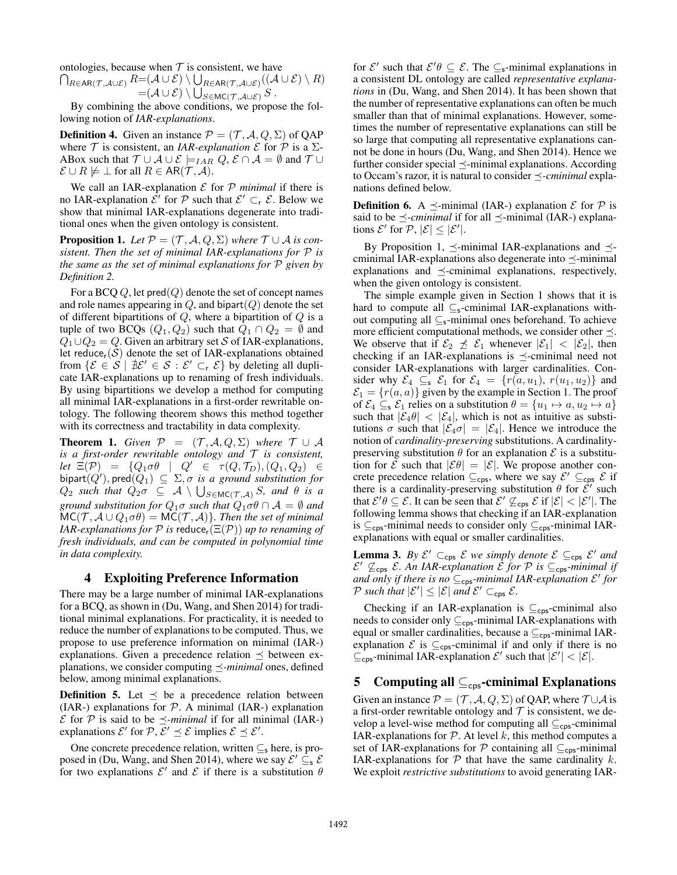ontologies, because when  $T$  is consistent, we have

 $\bigcap_{R\in{\sf AR}({\cal T}, {\cal A}\cup {\cal E})}R{=}( {\cal A}\cup {\cal E})\setminus \bigcup_{R\in{\sf AR}({\cal T}, {\cal A}\cup {\cal E})}(( {\cal A}\cup {\cal E})\setminus R)$  $=({\cal A}\cup{\cal E})\setminus\bigcup_{S\in\mathsf{MC}({\cal T},\cal A\cup\cal E)}S$  .

By combining the above conditions, we propose the following notion of *IAR-explanations*.

**Definition 4.** Given an instance  $\mathcal{P} = (\mathcal{T}, \mathcal{A}, Q, \Sigma)$  of QAP where  $\mathcal T$  is consistent, an *IAR-explanation*  $\mathcal E$  for  $\mathcal P$  is a  $\Sigma$ -ABox such that  $\mathcal{T} \cup \mathcal{A} \cup \mathcal{E} \models_{IAR} Q, \mathcal{E} \cap \mathcal{A} = \emptyset$  and  $\mathcal{T} \cup$  $\mathcal{E} \cup R \not\models \bot$  for all  $R \in AR(\mathcal{T}, \mathcal{A})$ .

We call an IAR-explanation  $\mathcal E$  for  $\mathcal P$  *minimal* if there is no IAR-explanation  $\mathcal{E}'$  for  $\mathcal{P}$  such that  $\mathcal{E}' \subset_{\mathsf{r}} \mathcal{E}$ . Below we show that minimal IAR-explanations degenerate into traditional ones when the given ontology is consistent.

**Proposition 1.** Let  $P = (T, A, Q, \Sigma)$  where  $T \cup A$  is con*sistent. Then the set of minimal IAR-explanations for* P *is the same as the set of minimal explanations for* P *given by Definition 2.*

For a BCQ  $Q$ , let pred $(Q)$  denote the set of concept names and role names appearing in  $Q$ , and bipart $(Q)$  denote the set of different bipartitions of  $Q$ , where a bipartition of  $Q$  is a tuple of two BCQs  $(Q_1, Q_2)$  such that  $Q_1 \cap Q_2 = \emptyset$  and  $Q_1 \cup Q_2 = Q$ . Given an arbitrary set S of IAR-explanations, let reduce<sub>r</sub>( $S$ ) denote the set of IAR-explanations obtained from  $\{\mathcal{E} \in \mathcal{S} \mid \exists \mathcal{E}' \in \mathcal{S} : \mathcal{E}' \subset_{r} \mathcal{E}\}$  by deleting all duplicate IAR-explanations up to renaming of fresh individuals. By using bipartitions we develop a method for computing all minimal IAR-explanations in a first-order rewritable ontology. The following theorem shows this method together with its correctness and tractability in data complexity.

**Theorem 1.** *Given*  $P = (T, A, Q, \Sigma)$  *where*  $T \cup A$ *is a first-order rewritable ontology and* T *is consistent, let*  $\Xi(\mathcal{P}) = \{Q_1 \sigma \theta \mid Q' \in \tau(Q, \mathcal{T}_D), (Q_1, Q_2) \in$  ${\sf bipart}(Q'), {\sf pred}(Q_1) \ \subseteq \ \Sigma, \sigma \ \textit{ is a ground substitution for}$  $Q_2$  *such that*  $Q_2 \sigma \subseteq A \setminus \bigcup_{S \in \mathsf{MC}(\mathcal{T}, \mathcal{A})} S$ *, and*  $\theta$  *is a ground substitution for*  $Q_1 \sigma$  *such that*  $Q_1 \sigma \theta \cap A = \emptyset$  *and*  $MC(\mathcal{T}, \mathcal{A} \cup Q_1 \sigma \theta) = MC(\mathcal{T}, \mathcal{A})$ *. Then the set of minimal IAR-explanations for*  $P$  *is* reduce<sub>r</sub>( $\Xi(P)$ ) *up to renaming of fresh individuals, and can be computed in polynomial time in data complexity.*

## 4 Exploiting Preference Information

There may be a large number of minimal IAR-explanations for a BCQ, as shown in (Du, Wang, and Shen 2014) for traditional minimal explanations. For practicality, it is needed to reduce the number of explanations to be computed. Thus, we propose to use preference information on minimal (IAR-) explanations. Given a precedence relation  $\preceq$  between explanations, we consider computing  $\preceq$ -*minimal* ones, defined below, among minimal explanations.

**Definition 5.** Let  $\leq$  be a precedence relation between (IAR-) explanations for  $P$ . A minimal (IAR-) explanation E for P is said to be  $\preceq$ -minimal if for all minimal (IAR-) explanations  $\mathcal{E}'$  for  $\mathcal{P}, \mathcal{E}' \preceq \mathcal{E}$  implies  $\mathcal{E} \preceq \mathcal{E}'$ .

One concrete precedence relation, written  $\subseteq$ <sub>s</sub> here, is proposed in (Du, Wang, and Shen 2014), where we say  $\mathcal{E}' \subseteq_{\mathbf{s}} \mathcal{E}$ for two explanations  $\mathcal{E}'$  and  $\mathcal{E}$  if there is a substitution  $\theta$ 

for  $\mathcal{E}'$  such that  $\mathcal{E}'\theta \subseteq \mathcal{E}$ . The  $\subseteq$ <sub>s</sub>-minimal explanations in a consistent DL ontology are called *representative explanations* in (Du, Wang, and Shen 2014). It has been shown that the number of representative explanations can often be much smaller than that of minimal explanations. However, sometimes the number of representative explanations can still be so large that computing all representative explanations cannot be done in hours (Du, Wang, and Shen 2014). Hence we further consider special  $\preceq$ -minimal explanations. According to Occam's razor, it is natural to consider  $\preceq$ -*cminimal* explanations defined below.

**Definition 6.** A  $\preceq$ -minimal (IAR-) explanation  $\mathcal E$  for  $\mathcal P$  is said to be  $\preceq$ -*cminimal* if for all  $\preceq$ -minimal (IAR-) explanations  $\mathcal{E}'$  for  $\mathcal{P}, |\mathcal{E}| \leq |\mathcal{E}'|$ .

By Proposition 1,  $\preceq$ -minimal IAR-explanations and  $\preceq$ cminimal IAR-explanations also degenerate into  $\preceq$ -minimal explanations and  $\preceq$ -cminimal explanations, respectively, when the given ontology is consistent.

The simple example given in Section 1 shows that it is hard to compute all  $\subseteq$ s-cminimal IAR-explanations without computing all  $\subseteq$ <sub>s</sub>-minimal ones beforehand. To achieve more efficient computational methods, we consider other  $\preceq$ . We observe that if  $\mathcal{E}_2 \not\preceq \mathcal{E}_1$  whenever  $|\mathcal{E}_1| < |\mathcal{E}_2|$ , then checking if an IAR-explanations is  $\preceq$ -cminimal need not consider IAR-explanations with larger cardinalities. Consider why  $\mathcal{E}_4 \subseteq_{\mathbf{s}} \mathcal{E}_1$  for  $\mathcal{E}_4 = \{r(a, u_1), r(u_1, u_2)\}\$  and  $\mathcal{E}_1 = \{r(a, a)\}\$  given by the example in Section 1. The proof of  $\mathcal{E}_4 \subseteq_{\mathbf{s}} \mathcal{E}_1$  relies on a substitution  $\theta = \{u_1 \mapsto a, u_2 \mapsto a\}$ such that  $|\mathcal{E}_4 \theta| < |\mathcal{E}_4|$ , which is not as intuitive as substitutions  $\sigma$  such that  $|\mathcal{E}_4 \sigma| = |\mathcal{E}_4|$ . Hence we introduce the notion of *cardinality-preserving* substitutions. A cardinalitypreserving substitution  $\theta$  for an explanation  $\mathcal E$  is a substitution for  $\mathcal E$  such that  $|\mathcal E \theta| = |\mathcal E|$ . We propose another concrete precedence relation  $\subseteq_{\text{cps}}$ , where we say  $\mathcal{E}' \subseteq_{\text{cps}} \mathcal{E}$  if there is a cardinality-preserving substitution  $\theta$  for  $\mathcal{E}'$  such that  $\mathcal{E}'\theta \subseteq \mathcal{E}$ . It can be seen that  $\mathcal{E}' \not\subseteq_{\text{cps}} \mathcal{E}$  if  $|\mathcal{E}| < |\mathcal{E}'|$ . The following lemma shows that checking if an IAR-explanation is  $\subseteq_{\text{cps}}$ -minimal needs to consider only  $\subseteq_{\text{cps}}$ -minimal IARexplanations with equal or smaller cardinalities.

**Lemma 3.** By  $\mathcal{E}' \subset_{\text{cps}} \mathcal{E}$  we simply denote  $\mathcal{E} \subseteq_{\text{cps}} \mathcal{E}'$  and  $\mathcal{E}' \nsubseteq_{\textsf{cps}} \mathcal{E}$ . An IAR-explanation  $\mathcal{\hat{E}}$  for  $\mathcal{P}$  is  $\subseteq_{\textsf{cps}}$ -minimal if and only if there is no  $\subseteq_{\mathsf{cps}}$ -minimal IAR-explanation  $\mathcal{E}'$  for P such that  $|\mathcal{E}'| \leq |\mathcal{E}|$  and  $\mathcal{E}' \subset_{\text{cps}} \mathcal{E}$ .

Checking if an IAR-explanation is  $\subseteq_{\text{cos}}$ -cminimal also needs to consider only  $\subseteq_{\mathsf{cos}}$ -minimal IAR-explanations with equal or smaller cardinalities, because a  $\subseteq_{\text{cps}}$ -minimal IARexplanation  $\mathcal E$  is  $\subseteq_{\text{cps}}$ -cminimal if and only if there is no  $\subseteq_{\text{cps}}$ -minimal IAR-explanation  $\mathcal{E}'$  such that  $|\mathcal{E}'| < |\mathcal{E}|$ .

# 5 Computing all  $\subseteq_{\text{cps}}$ -cminimal Explanations

Given an instance  $\mathcal{P} = (\mathcal{T}, \mathcal{A}, Q, \Sigma)$  of QAP, where  $\mathcal{T} \cup \mathcal{A}$  is a first-order rewritable ontology and  $T$  is consistent, we develop a level-wise method for computing all  $\subseteq_{\text{cps}}$ -cminimal IAR-explanations for  $P$ . At level k, this method computes a set of IAR-explanations for  $\mathcal P$  containing all  $\subseteq_{\text{cos}}$ -minimal IAR-explanations for  $P$  that have the same cardinality k. We exploit *restrictive substitutions* to avoid generating IAR-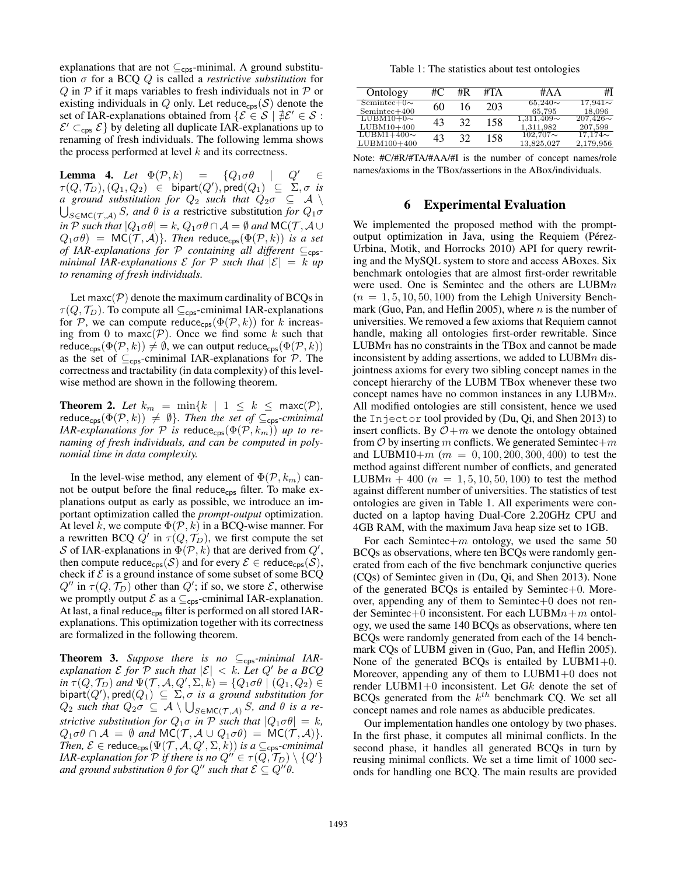explanations that are not  $\subseteq_{\text{cps}}$ -minimal. A ground substitution σ for a BCQ Q is called a *restrictive substitution* for  $Q$  in  $P$  if it maps variables to fresh individuals not in  $P$  or existing individuals in  $Q$  only. Let reduce<sub>cps</sub>(S) denote the set of IAR-explanations obtained from  $\{\mathcal{E} \in \mathcal{S} \mid \exists \mathcal{E}' \in \mathcal{S} :$  $\mathcal{E}' \subset_{\text{cps}} \mathcal{E}$  by deleting all duplicate IAR-explanations up to renaming of fresh individuals. The following lemma shows the process performed at level  $k$  and its correctness.

**Lemma 4.** Let  $\Phi(\mathcal{P},k)$  =  $\{Q_1 \sigma \theta \mid Q' \in \mathcal{Q}\}$  $\tau(Q,\mathcal{T}_D),(Q_1,Q_2) \;\;\in\;\; {\mathsf{bipart}}(Q'), {\mathsf{pred}}(Q_1) \;\; \subseteq\; \Sigma, \sigma \;\; \text{is}$ *a* ground substitution for  $Q_2$  such that  $Q_2 \sigma \subseteq \mathcal{A} \setminus \mathcal{A}$  $\bigcup_{S \in \mathsf{MC}(\mathcal{T}, \mathcal{A})} S$ , and  $\theta$  is a restrictive substitution *for*  $Q_1 \sigma$ *in* P *such that*  $|Q_1 \sigma \theta| = k$ ,  $Q_1 \sigma \theta \cap A = \emptyset$  *and*  $MC(\mathcal{T}, A \cup$  $Q_1 \sigma \theta$  = MC(T, A)}. Then reduce<sub>cps</sub>( $\Phi$ (P, k)) *is a set of IAR-explanations for*  $P$  *containing all different* ⊆<sub>cps</sub>*minimal IAR-explanations*  $\mathcal E$  *for*  $\mathcal P$  *such that*  $|\mathcal E| = k$  *up to renaming of fresh individuals.*

Let maxc( $P$ ) denote the maximum cardinality of BCQs in  $\tau(Q, \mathcal{T}_D)$ . To compute all  $\subseteq_{\text{cps}}$ -cminimal IAR-explanations for P, we can compute reduce<sub>cps</sub>( $\Phi(\mathcal{P}, k)$ ) for k increasing from 0 to maxc( $P$ ). Once we find some k such that reduce<sub>cps</sub>( $\Phi(\mathcal{P}, k)$ )  $\neq \emptyset$ , we can output reduce<sub>cps</sub>( $\Phi(\mathcal{P}, k)$ ) as the set of  $\subseteq_{\text{cps}}$ -cminimal IAR-explanations for  $P$ . The correctness and tractability (in data complexity) of this levelwise method are shown in the following theorem.

**Theorem 2.** Let  $k_m = \min\{k \mid 1 \leq k \leq \max(\mathcal{P}),\}$ reduce<sub>cps</sub>( $\Phi(\mathcal{P}, k)$ )  $\neq \emptyset$ *}. Then the set of*  $\subseteq_{\mathsf{cps}}\text{-}cminimal$ *IAR-explanations for*  $P$  *is* reduce<sub>cps</sub>( $\Phi(P, k_m)$ ) *up to renaming of fresh individuals, and can be computed in polynomial time in data complexity.*

In the level-wise method, any element of  $\Phi(\mathcal{P}, k_m)$  cannot be output before the final reduce<sub>cps</sub> filter. To make explanations output as early as possible, we introduce an important optimization called the *prompt-output* optimization. At level k, we compute  $\Phi(\mathcal{P}, k)$  in a BCQ-wise manner. For a rewritten BCQ  $\overline{Q}'$  in  $\tau(Q, \mathcal{T}_D)$ , we first compute the set S of IAR-explanations in  $\overline{\Phi}(\mathcal{P},k)$  that are derived from  $Q'$ , then compute reduce<sub>cps</sub>(S) and for every  $\mathcal{E} \in \text{reduce}_{\text{cps}}(\mathcal{S}),$ check if  $\mathcal E$  is a ground instance of some subset of some BCQ  $Q''$  in  $\tau(Q, \mathcal{T}_D)$  other than  $Q'$ ; if so, we store  $\mathcal{E}$ , otherwise we promptly output  $\mathcal E$  as a  $\subseteq_{\text{cps}}$ -cminimal IAR-explanation. At last, a final reduce<sub>cps</sub> filter is performed on all stored IARexplanations. This optimization together with its correctness are formalized in the following theorem.

**Theorem 3.** Suppose there is no  $\subseteq_{\text{cps}}$ -minimal IAR*explanation*  $\mathcal E$  *for*  $\mathcal P$  *such that*  $|\mathcal E| < k$ *. Let*  $Q'$  *be a BCQ*  $\hat{\ln \tau}(Q, \mathcal{T}_D)$  and  $\Psi(\mathcal{T}, \mathcal{A}, Q', \Sigma, k) = \{Q_1 \sigma \theta \mid (Q_1, Q_2) \in$  ${\sf bipart}(Q'), {\sf pred}(Q_1) \ \subseteq \ \Sigma, \sigma \ \textit{ is a ground substitution for}$  $Q_2$  *such that*  $Q_2 \sigma \subseteq A \setminus \bigcup_{S \in \mathsf{MC}(\mathcal{T}, \mathcal{A})} S$ *, and*  $\theta$  *is a restrictive substitution for*  $Q_1 \sigma$  *in*  $P$  *such that*  $|Q_1 \sigma \theta| = k$ *,*  $Q_1 \sigma \theta \cap A = \emptyset$  and  $MC(\mathcal{T}, A \cup Q_1 \sigma \theta) = MC(\mathcal{T}, A)$ . *Then,*  $\mathcal{E} \in \text{reduce}_{\text{cps}}(\Psi(\mathcal{T}, \mathcal{A}, Q', \Sigma, k))$  *is a*  $\subseteq_{\text{cps}}\text{-}cminimal$ *IAR-explanation for*  $\mathcal P$  *if there is no*  $Q''\in \tau(Q,\mathcal T_D)\setminus\{Q'\}$ *and ground substitution*  $\theta$  *for*  $Q''$  *such that*  $\mathcal{E} \subseteq Q''\theta$ .

Table 1: The statistics about test ontologies

| Ontology                           | #C | #R | #TA | #AA                          | #I                         |
|------------------------------------|----|----|-----|------------------------------|----------------------------|
| $Seminter+0\sim$<br>$Semintec+400$ | 60 | 16 | 203 | $65.240\sim$<br>65.795       | $17,941\sim$<br>18,096     |
| $LUBM10+0\sim$<br>$LUBM10+400$     | 43 | 32 | 158 | $1.311.409\sim$<br>1.311.982 | $207,426\sim$<br>207,599   |
| $LUBM1+400\sim$<br>LUBM100+400     | 43 | 32 | 158 | $102,707 \sim$<br>13,825,027 | $17,174 \sim$<br>2,179,956 |

Note: #C/#R/#TA/#AA/#I is the number of concept names/role names/axioms in the TBox/assertions in the ABox/individuals.

#### 6 Experimental Evaluation

We implemented the proposed method with the promptoutput optimization in Java, using the Requiem (Pérez-Urbina, Motik, and Horrocks 2010) API for query rewriting and the MySQL system to store and access ABoxes. Six benchmark ontologies that are almost first-order rewritable were used. One is Semintec and the others are LUBMn  $(n = 1, 5, 10, 50, 100)$  from the Lehigh University Benchmark (Guo, Pan, and Heflin 2005), where  $n$  is the number of universities. We removed a few axioms that Requiem cannot handle, making all ontologies first-order rewritable. Since  $LUBMn$  has no constraints in the TBox and cannot be made inconsistent by adding assertions, we added to LUBMn disjointness axioms for every two sibling concept names in the concept hierarchy of the LUBM TBox whenever these two concept names have no common instances in any LUBMn. All modified ontologies are still consistent, hence we used the Injector tool provided by (Du, Qi, and Shen 2013) to insert conflicts. By  $O+m$  we denote the ontology obtained from  $O$  by inserting m conflicts. We generated Semintec+m and LUBM10+ $m$  ( $m = 0, 100, 200, 300, 400$ ) to test the method against different number of conflicts, and generated LUBM $n + 400$  ( $n = 1, 5, 10, 50, 100$ ) to test the method against different number of universities. The statistics of test ontologies are given in Table 1. All experiments were conducted on a laptop having Dual-Core 2.20GHz CPU and 4GB RAM, with the maximum Java heap size set to 1GB.

For each Semintec+ $m$  ontology, we used the same 50 BCQs as observations, where ten BCQs were randomly generated from each of the five benchmark conjunctive queries (CQs) of Semintec given in (Du, Qi, and Shen 2013). None of the generated BCQs is entailed by Semintec $+0$ . Moreover, appending any of them to Semintec $+0$  does not render Semintec+0 inconsistent. For each LUBM $n+m$  ontology, we used the same 140 BCQs as observations, where ten BCQs were randomly generated from each of the 14 benchmark CQs of LUBM given in (Guo, Pan, and Heflin 2005). None of the generated BCQs is entailed by  $LUBM1+0$ . Moreover, appending any of them to LUBM1+0 does not render LUBM1+0 inconsistent. Let Gk denote the set of BCQs generated from the  $k^{th}$  benchmark CQ. We set all concept names and role names as abducible predicates.

Our implementation handles one ontology by two phases. In the first phase, it computes all minimal conflicts. In the second phase, it handles all generated BCQs in turn by reusing minimal conflicts. We set a time limit of 1000 seconds for handling one BCQ. The main results are provided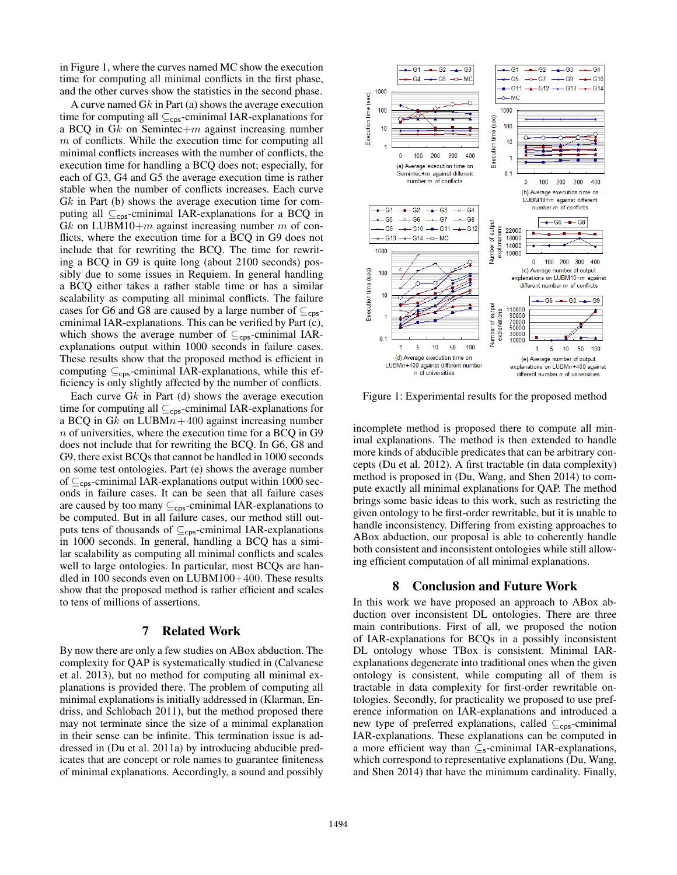in Figure 1, where the curves named MC show the execution time for computing all minimal conflicts in the first phase, and the other curves show the statistics in the second phase.

A curve named Gk in Part (a) shows the average execution time for computing all  $\subseteq_{\text{cps}}$ -cminimal IAR-explanations for a BCQ in  $Gk$  on Semintec+m against increasing number  $m$  of conflicts. While the execution time for computing all minimal conflicts increases with the number of conflicts, the execution time for handling a BCQ does not; especially, for each of G3, G4 and G5 the average execution time is rather stable when the number of conflicts increases. Each curve Gk in Part (b) shows the average execution time for computing all  $\subseteq_{\text{cps}}$ -cminimal IAR-explanations for a BCQ in Gk on LUBM10+ $m$  against increasing number  $m$  of conflicts, where the execution time for a BCQ in G9 does not include that for rewriting the BCQ. The time for rewriting a BCQ in G9 is quite long (about 2100 seconds) possibly due to some issues in Requiem. In general handling a BCQ either takes a rather stable time or has a similar scalability as computing all minimal conflicts. The failure cases for G6 and G8 are caused by a large number of  $\subseteq_{\text{cos}}$ cminimal IAR-explanations. This can be verified by Part (c), which shows the average number of  $\subseteq_{\text{cps}}$ -cminimal IARexplanations output within 1000 seconds in failure cases. These results show that the proposed method is efficient in computing  $\subseteq_{\mathsf{cos}}$ -cminimal IAR-explanations, while this efficiency is only slightly affected by the number of conflicts.

Each curve  $Gk$  in Part (d) shows the average execution time for computing all  $\subseteq_{\text{cps}}$ -cminimal IAR-explanations for a BCQ in Gk on  $LUBMn+400$  against increasing number n of universities, where the execution time for a BCQ in G9 does not include that for rewriting the BCQ. In G6, G8 and G9, there exist BCQs that cannot be handled in 1000 seconds on some test ontologies. Part (e) shows the average number of  $\subseteq_{\text{cps}}$ -cminimal IAR-explanations output within 1000 seconds in failure cases. It can be seen that all failure cases are caused by too many  $\subseteq_{\text{cps}}$ -cminimal IAR-explanations to be computed. But in all failure cases, our method still outputs tens of thousands of  $\subseteq_{\text{cps}}$ -cminimal IAR-explanations in 1000 seconds. In general, handling a BCQ has a similar scalability as computing all minimal conflicts and scales well to large ontologies. In particular, most BCQs are handled in 100 seconds even on LUBM100+400. These results show that the proposed method is rather efficient and scales to tens of millions of assertions.

# 7 Related Work

By now there are only a few studies on ABox abduction. The complexity for QAP is systematically studied in (Calvanese et al. 2013), but no method for computing all minimal explanations is provided there. The problem of computing all minimal explanations is initially addressed in (Klarman, Endriss, and Schlobach 2011), but the method proposed there may not terminate since the size of a minimal explanation in their sense can be infinite. This termination issue is addressed in (Du et al. 2011a) by introducing abducible predicates that are concept or role names to guarantee finiteness of minimal explanations. Accordingly, a sound and possibly



Figure 1: Experimental results for the proposed method

incomplete method is proposed there to compute all minimal explanations. The method is then extended to handle more kinds of abducible predicates that can be arbitrary concepts (Du et al. 2012). A first tractable (in data complexity) method is proposed in (Du, Wang, and Shen 2014) to compute exactly all minimal explanations for QAP. The method brings some basic ideas to this work, such as restricting the given ontology to be first-order rewritable, but it is unable to handle inconsistency. Differing from existing approaches to ABox abduction, our proposal is able to coherently handle both consistent and inconsistent ontologies while still allowing efficient computation of all minimal explanations.

#### 8 Conclusion and Future Work

In this work we have proposed an approach to ABox abduction over inconsistent DL ontologies. There are three main contributions. First of all, we proposed the notion of IAR-explanations for BCQs in a possibly inconsistent DL ontology whose TBox is consistent. Minimal IARexplanations degenerate into traditional ones when the given ontology is consistent, while computing all of them is tractable in data complexity for first-order rewritable ontologies. Secondly, for practicality we proposed to use preference information on IAR-explanations and introduced a new type of preferred explanations, called  $\subseteq_{\text{cps}}$ -cminimal IAR-explanations. These explanations can be computed in a more efficient way than  $\subseteq$ <sub>s</sub>-cminimal IAR-explanations, which correspond to representative explanations (Du, Wang, and Shen 2014) that have the minimum cardinality. Finally,